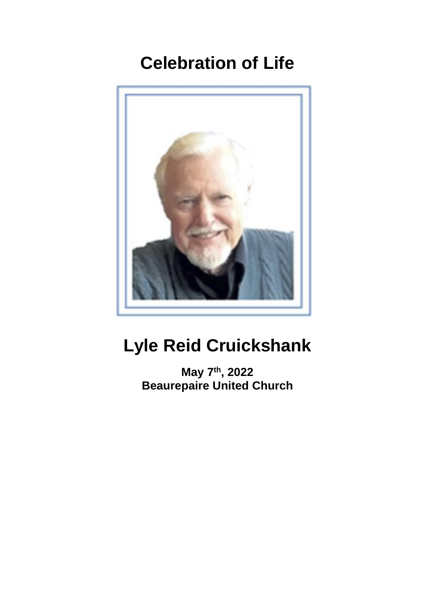# **Celebration of Life**



# **Lyle Reid Cruickshank**

**May 7 th , 2022 Beaurepaire United Church**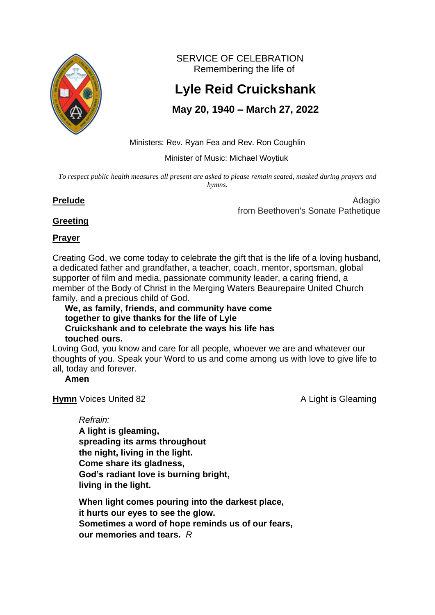

SERVICE OF CELEBRATION Remembering the life of

# **Lyle Reid Cruickshank**

# **May 20, 1940 – March 27, 2022**

Ministers: Rev. Ryan Fea and Rev. Ron Coughlin

Minister of Music: Michael Woytiuk

To respect public health measures all present are asked to please remain seated, masked during prayers and *hymns.*

**Prelude** Adagio from Beethoven's Sonate Pathetique

# **Greeting**

# **Prayer**

Creating God, we come today to celebrate the gift that is the life of a loving husband, a dedicated father and grandfather, a teacher, coach, mentor, sportsman, global supporter of film and media, passionate community leader, a caring friend, a member of the Body of Christ in the Merging Waters Beaurepaire United Church family, and a precious child of God.

 **We, as family, friends, and community have come together to give thanks for the life of Lyle Cruickshank and to celebrate the ways his life has touched ours.**

Loving God, you know and care for all people, whoever we are and whatever our thoughts of you. Speak your Word to us and come among us with love to give life to all, today and forever.

## **Amen**

**Hymn** Voices United 82 A Light is Gleaming

*Refrain:*

**A light is gleaming, spreading its arms throughout the night, living in the light. Come share its gladness, God's radiant love is burning bright, living in the light.**

**When light comes pouring into the darkest place, it hurts our eyes to see the glow. Sometimes a word of hope reminds us of our fears, our memories and tears.** *R*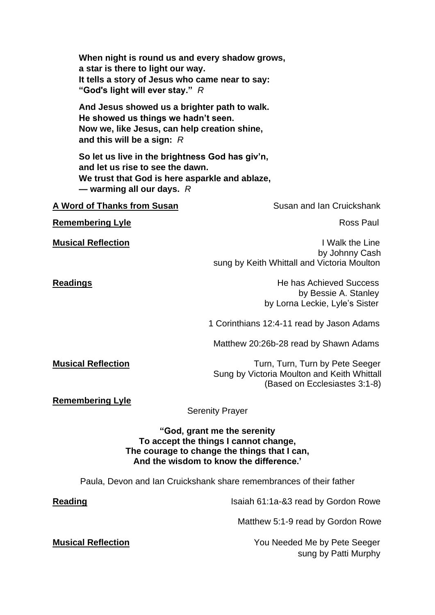| When night is round us and every shadow grows,<br>a star is there to light our way.<br>It tells a story of Jesus who came near to say:<br>"God's light will ever stay." $R$ |                                                                                                                                                                 |
|-----------------------------------------------------------------------------------------------------------------------------------------------------------------------------|-----------------------------------------------------------------------------------------------------------------------------------------------------------------|
| And Jesus showed us a brighter path to walk.<br>He showed us things we hadn't seen.<br>Now we, like Jesus, can help creation shine,<br>and this will be a sign: $R$         |                                                                                                                                                                 |
| So let us live in the brightness God has giv'n,<br>and let us rise to see the dawn.<br>We trust that God is here asparkle and ablaze,<br>- warming all our days. $R$        |                                                                                                                                                                 |
| <b>A Word of Thanks from Susan</b>                                                                                                                                          | Susan and Ian Cruickshank                                                                                                                                       |
| <b>Remembering Lyle</b>                                                                                                                                                     | Ross Paul                                                                                                                                                       |
| <b>Musical Reflection</b>                                                                                                                                                   | I Walk the Line<br>by Johnny Cash<br>sung by Keith Whittall and Victoria Moulton                                                                                |
| <b>Readings</b>                                                                                                                                                             | <b>He has Achieved Success</b><br>by Bessie A. Stanley<br>by Lorna Leckie, Lyle's Sister                                                                        |
|                                                                                                                                                                             | 1 Corinthians 12:4-11 read by Jason Adams                                                                                                                       |
|                                                                                                                                                                             | Matthew 20:26b-28 read by Shawn Adams                                                                                                                           |
| <b>Musical Reflection</b>                                                                                                                                                   | Turn, Turn, Turn by Pete Seeger<br>Sung by Victoria Moulton and Keith Whittall<br>(Based on Ecclesiastes 3:1-8)                                                 |
| <b>Remembering Lyle</b>                                                                                                                                                     | <b>Serenity Prayer</b>                                                                                                                                          |
|                                                                                                                                                                             | "God, grant me the serenity<br>To accept the things I cannot change,<br>The courage to change the things that I can,<br>And the wisdom to know the difference.' |
|                                                                                                                                                                             | Paula, Devon and Ian Cruickshank share remembrances of their father                                                                                             |
| <b>Reading</b>                                                                                                                                                              | Isaiah 61:1a-&3 read by Gordon Rowe                                                                                                                             |
|                                                                                                                                                                             | Matthew 5:1-9 read by Gordon Rowe                                                                                                                               |
| <b>Musical Reflection</b>                                                                                                                                                   | You Needed Me by Pete Seeger                                                                                                                                    |

sung by Patti Murphy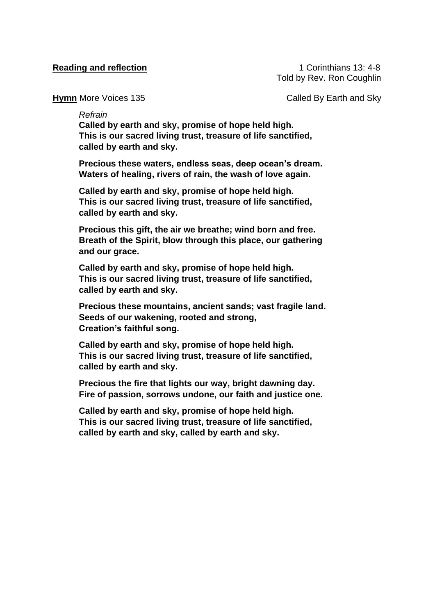**Reading and reflection 1** Corinthians 13: 4-8 Told by Rev. Ron Coughlin

**Hymn** More Voices 135 **Called By Earth and Sky** 

*Refrain*

**Called by earth and sky, promise of hope held high. This is our sacred living trust, treasure of life sanctified, called by earth and sky.**

**Precious these waters, endless seas, deep ocean's dream. Waters of healing, rivers of rain, the wash of love again.**

**Called by earth and sky, promise of hope held high. This is our sacred living trust, treasure of life sanctified, called by earth and sky.**

**Precious this gift, the air we breathe; wind born and free. Breath of the Spirit, blow through this place, our gathering and our grace.**

**Called by earth and sky, promise of hope held high. This is our sacred living trust, treasure of life sanctified, called by earth and sky.**

**Precious these mountains, ancient sands; vast fragile land. Seeds of our wakening, rooted and strong, Creation's faithful song.**

**Called by earth and sky, promise of hope held high. This is our sacred living trust, treasure of life sanctified, called by earth and sky.**

**Precious the fire that lights our way, bright dawning day. Fire of passion, sorrows undone, our faith and justice one.**

**Called by earth and sky, promise of hope held high. This is our sacred living trust, treasure of life sanctified, called by earth and sky, called by earth and sky.**